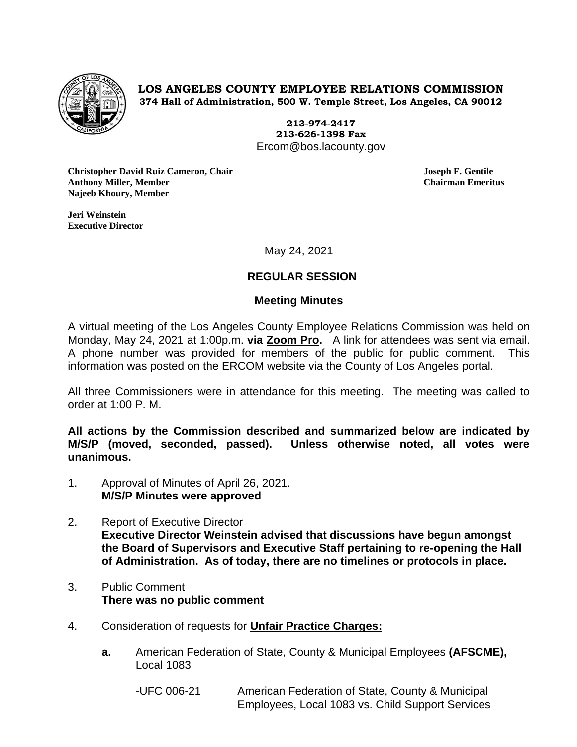

**LOS ANGELES COUNTY EMPLOYEE RELATIONS COMMISSION 374 Hall of Administration, 500 W. Temple Street, Los Angeles, CA 90012**

> **213-974-2417 213-626-1398 Fax** Ercom@bos.lacounty.gov

**Christopher David Ruiz Cameron, Chair Joseph F. Gentile Anthony Miller, Member Chairman Emeritus Najeeb Khoury, Member**

**Jeri Weinstein Executive Director** 

May 24, 2021

## **REGULAR SESSION**

### **Meeting Minutes**

A virtual meeting of the Los Angeles County Employee Relations Commission was held on Monday, May 24, 2021 at 1:00p.m. **via Zoom Pro.** A link for attendees was sent via email. A phone number was provided for members of the public for public comment. This information was posted on the ERCOM website via the County of Los Angeles portal.

All three Commissioners were in attendance for this meeting. The meeting was called to order at 1:00 P. M.

**All actions by the Commission described and summarized below are indicated by M/S/P (moved, seconded, passed). Unless otherwise noted, all votes were unanimous.**

- 1. Approval of Minutes of April 26, 2021. **M/S/P Minutes were approved**
- 2. Report of Executive Director **Executive Director Weinstein advised that discussions have begun amongst the Board of Supervisors and Executive Staff pertaining to re-opening the Hall of Administration. As of today, there are no timelines or protocols in place.**
- 3. Public Comment **There was no public comment**
- 4. Consideration of requests for **Unfair Practice Charges:**
	- **a.** American Federation of State, County & Municipal Employees **(AFSCME),** Local 1083
		- -UFC 006-21 American Federation of State, County & Municipal Employees, Local 1083 vs. Child Support Services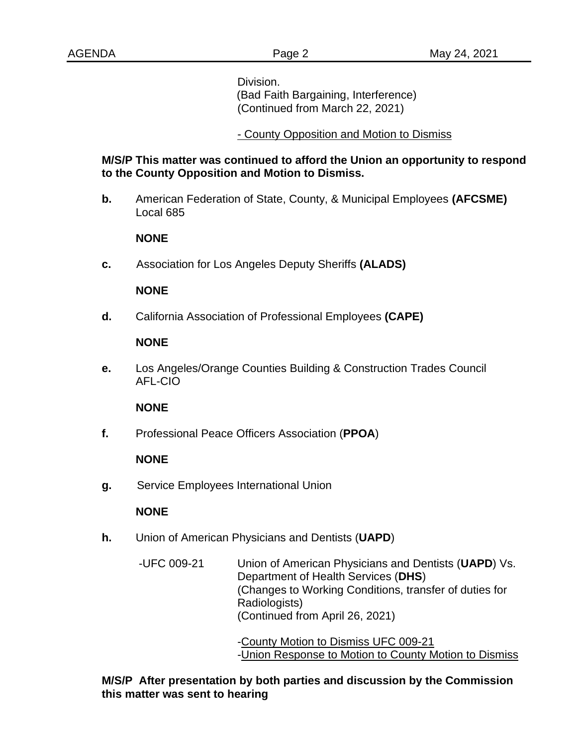Division. (Bad Faith Bargaining, Interference) (Continued from March 22, 2021)

## - County Opposition and Motion to Dismiss

## **M/S/P This matter was continued to afford the Union an opportunity to respond to the County Opposition and Motion to Dismiss.**

**b.** American Federation of State, County, & Municipal Employees **(AFCSME)** Local 685

### **NONE**

**c.** Association for Los Angeles Deputy Sheriffs **(ALADS)**

#### **NONE**

**d.** California Association of Professional Employees **(CAPE)**

## **NONE**

**e.** Los Angeles/Orange Counties Building & Construction Trades Council AFL-CIO

#### **NONE**

**f.** Professional Peace Officers Association (**PPOA**)

## **NONE**

**g.** Service Employees International Union

## **NONE**

- **h.** Union of American Physicians and Dentists (**UAPD**)
	- -UFC 009-21 Union of American Physicians and Dentists (**UAPD**) Vs. Department of Health Services (**DHS**) (Changes to Working Conditions, transfer of duties for Radiologists) (Continued from April 26, 2021)

-County Motion to Dismiss UFC 009-21 -Union Response to Motion to County Motion to Dismiss

**M/S/P After presentation by both parties and discussion by the Commission this matter was sent to hearing**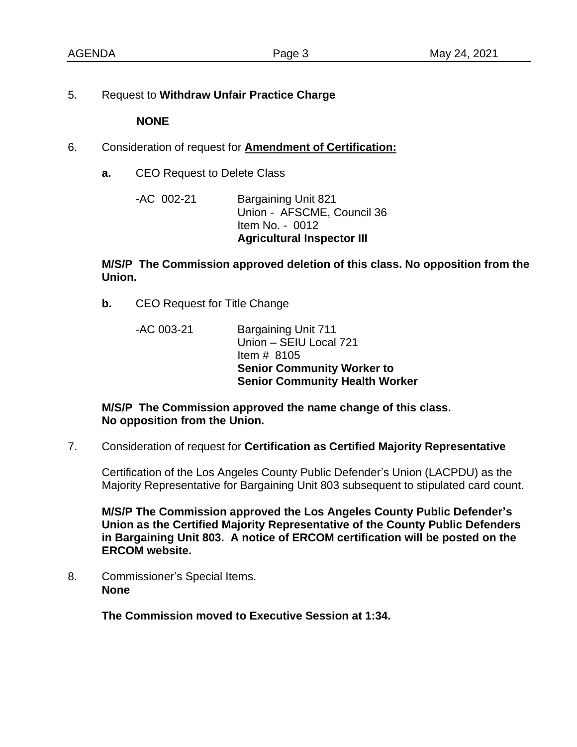5. Request to **Withdraw Unfair Practice Charge**

 **NONE**

- 6. Consideration of request for **Amendment of Certification:**
	- **a.** CEO Request to Delete Class

-AC 002-21 Bargaining Unit 821 Union - AFSCME, Council 36 Item No. - 0012 **Agricultural Inspector III**

**M/S/P The Commission approved deletion of this class. No opposition from the Union.**

- **b.** CEO Request for Title Change
	- -AC 003-21 Bargaining Unit 711 Union – SEIU Local 721 Item # 8105 **Senior Community Worker to Senior Community Health Worker**

**M/S/P The Commission approved the name change of this class. No opposition from the Union.** 

7. Consideration of request for **Certification as Certified Majority Representative**

Certification of the Los Angeles County Public Defender's Union (LACPDU) as the Majority Representative for Bargaining Unit 803 subsequent to stipulated card count.

**M/S/P The Commission approved the Los Angeles County Public Defender's Union as the Certified Majority Representative of the County Public Defenders in Bargaining Unit 803. A notice of ERCOM certification will be posted on the ERCOM website.** 

8. Commissioner's Special Items. **None**

**The Commission moved to Executive Session at 1:34.**